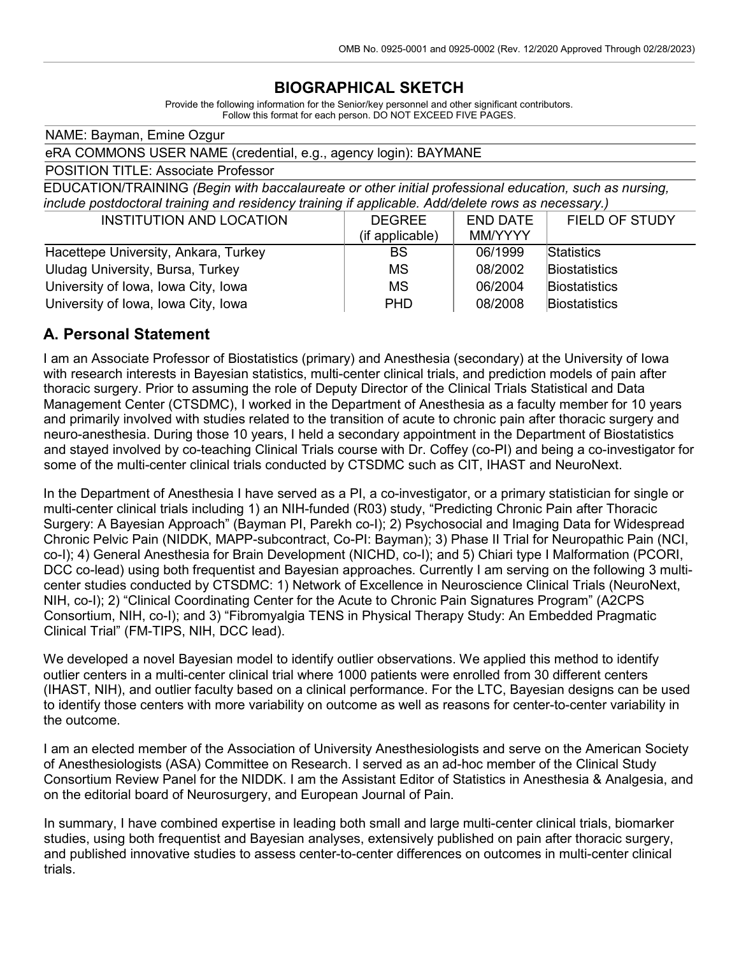# **BIOGRAPHICAL SKETCH**

Provide the following information for the Senior/key personnel and other significant contributors. Follow this format for each person. DO NOT EXCEED FIVE PAGES.

NAME: Bayman, Emine Ozgur eRA COMMONS USER NAME (credential, e.g., agency login): BAYMANE POSITION TITLE: Associate Professor EDUCATION/TRAINING *(Begin with baccalaureate or other initial professional education, such as nursing, include postdoctoral training and residency training if applicable. Add/delete rows as necessary.)* INSTITUTION AND LOCATION END DATE FIELD OF STUDY

|                                      | <b>DLVILL</b>   | LIV DAIL       | 1 ILLU VI UTULI      |
|--------------------------------------|-----------------|----------------|----------------------|
|                                      | (if applicable) | <b>MM/YYYY</b> |                      |
| Hacettepe University, Ankara, Turkey | BS              | 06/1999        | Statistics           |
| Uludag University, Bursa, Turkey     | <b>MS</b>       | 08/2002        | <b>Biostatistics</b> |
| University of Iowa, Iowa City, Iowa  | <b>MS</b>       | 06/2004        | <b>Biostatistics</b> |
| University of Iowa, Iowa City, Iowa  | <b>PHD</b>      | 08/2008        | Biostatistics        |

### **A. Personal Statement**

I am an Associate Professor of Biostatistics (primary) and Anesthesia (secondary) at the University of Iowa with research interests in Bayesian statistics, multi-center clinical trials, and prediction models of pain after thoracic surgery. Prior to assuming the role of Deputy Director of the Clinical Trials Statistical and Data Management Center (CTSDMC), I worked in the Department of Anesthesia as a faculty member for 10 years and primarily involved with studies related to the transition of acute to chronic pain after thoracic surgery and neuro-anesthesia. During those 10 years, I held a secondary appointment in the Department of Biostatistics and stayed involved by co-teaching Clinical Trials course with Dr. Coffey (co-PI) and being a co-investigator for some of the multi-center clinical trials conducted by CTSDMC such as CIT, IHAST and NeuroNext.

In the Department of Anesthesia I have served as a PI, a co-investigator, or a primary statistician for single or multi-center clinical trials including 1) an NIH-funded (R03) study, "Predicting Chronic Pain after Thoracic Surgery: A Bayesian Approach" (Bayman PI, Parekh co-I); 2) Psychosocial and Imaging Data for Widespread Chronic Pelvic Pain (NIDDK, MAPP-subcontract, Co-PI: Bayman); 3) Phase II Trial for Neuropathic Pain (NCI, co-I); 4) General Anesthesia for Brain Development (NICHD, co-I); and 5) Chiari type I Malformation (PCORI, DCC co-lead) using both frequentist and Bayesian approaches. Currently I am serving on the following 3 multicenter studies conducted by CTSDMC: 1) Network of Excellence in Neuroscience Clinical Trials (NeuroNext, NIH, co-I); 2) "Clinical Coordinating Center for the Acute to Chronic Pain Signatures Program" (A2CPS Consortium, NIH, co-I); and 3) "Fibromyalgia TENS in Physical Therapy Study: An Embedded Pragmatic Clinical Trial" (FM-TIPS, NIH, DCC lead).

We developed a novel Bayesian model to identify outlier observations. We applied this method to identify outlier centers in a multi-center clinical trial where 1000 patients were enrolled from 30 different centers (IHAST, NIH), and outlier faculty based on a clinical performance. For the LTC, Bayesian designs can be used to identify those centers with more variability on outcome as well as reasons for center-to-center variability in the outcome.

I am an elected member of the Association of University Anesthesiologists and serve on the American Society of Anesthesiologists (ASA) Committee on Research. I served as an ad-hoc member of the Clinical Study Consortium Review Panel for the NIDDK. I am the Assistant Editor of Statistics in Anesthesia & Analgesia, and on the editorial board of Neurosurgery, and European Journal of Pain.

In summary, I have combined expertise in leading both small and large multi-center clinical trials, biomarker studies, using both frequentist and Bayesian analyses, extensively published on pain after thoracic surgery, and published innovative studies to assess center-to-center differences on outcomes in multi-center clinical trials.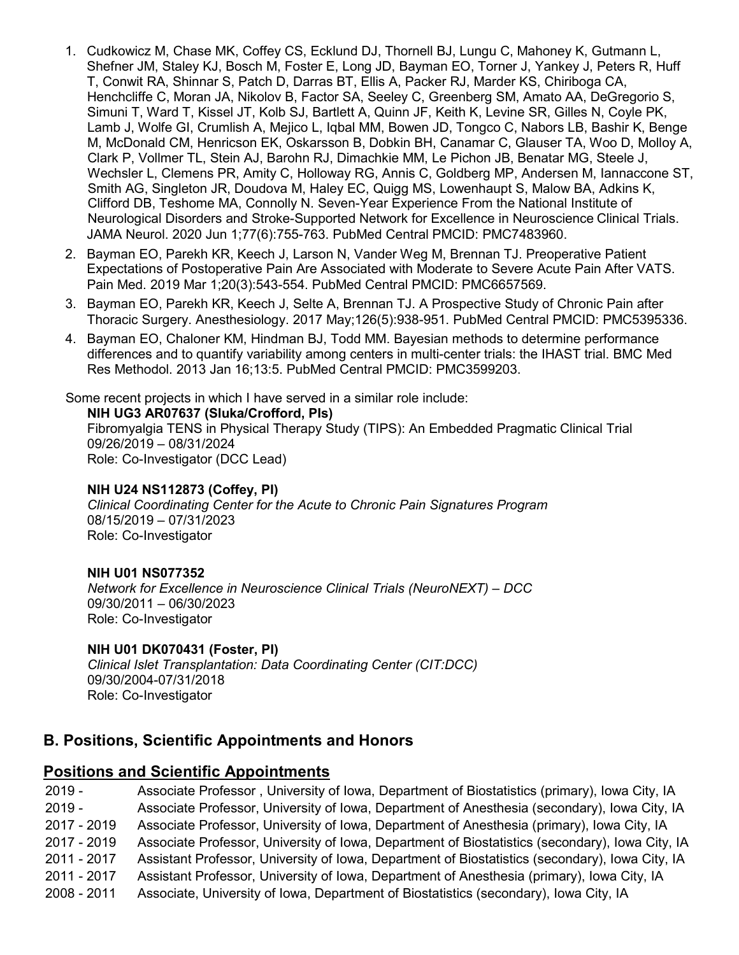- 1. Cudkowicz M, Chase MK, Coffey CS, Ecklund DJ, Thornell BJ, Lungu C, Mahoney K, Gutmann L, Shefner JM, Staley KJ, Bosch M, Foster E, Long JD, Bayman EO, Torner J, Yankey J, Peters R, Huff T, Conwit RA, Shinnar S, Patch D, Darras BT, Ellis A, Packer RJ, Marder KS, Chiriboga CA, Henchcliffe C, Moran JA, Nikolov B, Factor SA, Seeley C, Greenberg SM, Amato AA, DeGregorio S, Simuni T, Ward T, Kissel JT, Kolb SJ, Bartlett A, Quinn JF, Keith K, Levine SR, Gilles N, Coyle PK, Lamb J, Wolfe GI, Crumlish A, Mejico L, Iqbal MM, Bowen JD, Tongco C, Nabors LB, Bashir K, Benge M, McDonald CM, Henricson EK, Oskarsson B, Dobkin BH, Canamar C, Glauser TA, Woo D, Molloy A, Clark P, Vollmer TL, Stein AJ, Barohn RJ, Dimachkie MM, Le Pichon JB, Benatar MG, Steele J, Wechsler L, Clemens PR, Amity C, Holloway RG, Annis C, Goldberg MP, Andersen M, Iannaccone ST, Smith AG, Singleton JR, Doudova M, Haley EC, Quigg MS, Lowenhaupt S, Malow BA, Adkins K, Clifford DB, Teshome MA, Connolly N. Seven-Year Experience From the National Institute of Neurological Disorders and Stroke-Supported Network for Excellence in Neuroscience Clinical Trials. JAMA Neurol. 2020 Jun 1;77(6):755-763. PubMed Central PMCID: PMC7483960.
- 2. Bayman EO, Parekh KR, Keech J, Larson N, Vander Weg M, Brennan TJ. Preoperative Patient Expectations of Postoperative Pain Are Associated with Moderate to Severe Acute Pain After VATS. Pain Med. 2019 Mar 1;20(3):543-554. PubMed Central PMCID: PMC6657569.
- 3. Bayman EO, Parekh KR, Keech J, Selte A, Brennan TJ. A Prospective Study of Chronic Pain after Thoracic Surgery. Anesthesiology. 2017 May;126(5):938-951. PubMed Central PMCID: PMC5395336.
- 4. Bayman EO, Chaloner KM, Hindman BJ, Todd MM. Bayesian methods to determine performance differences and to quantify variability among centers in multi-center trials: the IHAST trial. BMC Med Res Methodol. 2013 Jan 16;13:5. PubMed Central PMCID: PMC3599203.

Some recent projects in which I have served in a similar role include:

**NIH UG3 AR07637 (Sluka/Crofford, PIs)** Fibromyalgia TENS in Physical Therapy Study (TIPS): An Embedded Pragmatic Clinical Trial 09/26/2019 – 08/31/2024 Role: Co-Investigator (DCC Lead)

#### **NIH U24 NS112873 (Coffey, PI)**

*Clinical Coordinating Center for the Acute to Chronic Pain Signatures Program*  08/15/2019 – 07/31/2023 Role: Co-Investigator

### **NIH U01 NS077352**

*Network for Excellence in Neuroscience Clinical Trials (NeuroNEXT) – DCC* 09/30/2011 – 06/30/2023 Role: Co-Investigator

#### **NIH U01 DK070431 (Foster, PI)**

*Clinical Islet Transplantation: Data Coordinating Center (CIT:DCC)* 09/30/2004-07/31/2018 Role: Co-Investigator

# **B. Positions, Scientific Appointments and Honors**

### **Positions and Scientific Appointments**

 - Associate Professor , University of Iowa, Department of Biostatistics (primary), Iowa City, IA - Associate Professor, University of Iowa, Department of Anesthesia (secondary), Iowa City, IA - 2019 Associate Professor, University of Iowa, Department of Anesthesia (primary), Iowa City, IA - 2019 Associate Professor, University of Iowa, Department of Biostatistics (secondary), Iowa City, IA - 2017 Assistant Professor, University of Iowa, Department of Biostatistics (secondary), Iowa City, IA - 2017 Assistant Professor, University of Iowa, Department of Anesthesia (primary), Iowa City, IA - 2011 Associate, University of Iowa, Department of Biostatistics (secondary), Iowa City, IA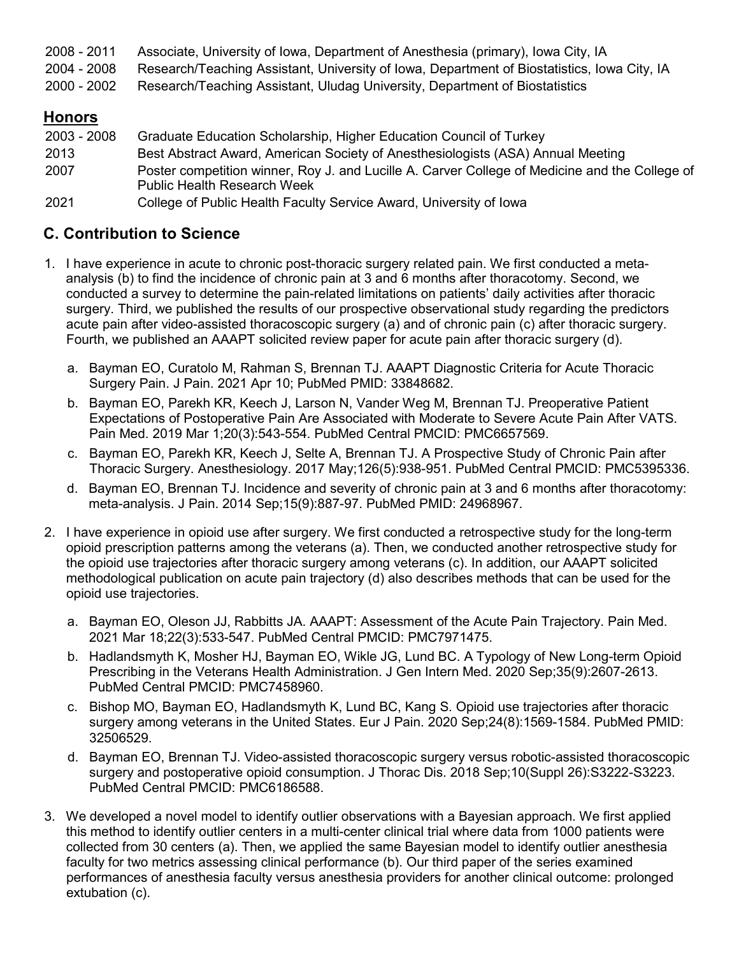2008 - 2011 Associate, University of Iowa, Department of Anesthesia (primary), Iowa City, IA

2004 - 2008 Research/Teaching Assistant, University of Iowa, Department of Biostatistics, Iowa City, IA

2000 - 2002 Research/Teaching Assistant, Uludag University, Department of Biostatistics

# **Honors**

| 2003 - 2008 | Graduate Education Scholarship, Higher Education Council of Turkey                             |
|-------------|------------------------------------------------------------------------------------------------|
| 2013        | Best Abstract Award, American Society of Anesthesiologists (ASA) Annual Meeting                |
| 2007        | Poster competition winner, Roy J. and Lucille A. Carver College of Medicine and the College of |
|             | <b>Public Health Research Week</b>                                                             |
| 2021        | College of Public Health Faculty Service Award, University of Iowa                             |

## **C. Contribution to Science**

- 1. I have experience in acute to chronic post-thoracic surgery related pain. We first conducted a metaanalysis (b) to find the incidence of chronic pain at 3 and 6 months after thoracotomy. Second, we conducted a survey to determine the pain-related limitations on patients' daily activities after thoracic surgery. Third, we published the results of our prospective observational study regarding the predictors acute pain after video-assisted thoracoscopic surgery (a) and of chronic pain (c) after thoracic surgery. Fourth, we published an AAAPT solicited review paper for acute pain after thoracic surgery (d).
	- a. Bayman EO, Curatolo M, Rahman S, Brennan TJ. AAAPT Diagnostic Criteria for Acute Thoracic Surgery Pain. J Pain. 2021 Apr 10; PubMed PMID: 33848682.
	- b. Bayman EO, Parekh KR, Keech J, Larson N, Vander Weg M, Brennan TJ. Preoperative Patient Expectations of Postoperative Pain Are Associated with Moderate to Severe Acute Pain After VATS. Pain Med. 2019 Mar 1;20(3):543-554. PubMed Central PMCID: PMC6657569.
	- c. Bayman EO, Parekh KR, Keech J, Selte A, Brennan TJ. A Prospective Study of Chronic Pain after Thoracic Surgery. Anesthesiology. 2017 May;126(5):938-951. PubMed Central PMCID: PMC5395336.
	- d. Bayman EO, Brennan TJ. Incidence and severity of chronic pain at 3 and 6 months after thoracotomy: meta-analysis. J Pain. 2014 Sep;15(9):887-97. PubMed PMID: 24968967.
- 2. I have experience in opioid use after surgery. We first conducted a retrospective study for the long-term opioid prescription patterns among the veterans (a). Then, we conducted another retrospective study for the opioid use trajectories after thoracic surgery among veterans (c). In addition, our AAAPT solicited methodological publication on acute pain trajectory (d) also describes methods that can be used for the opioid use trajectories.
	- a. Bayman EO, Oleson JJ, Rabbitts JA. AAAPT: Assessment of the Acute Pain Trajectory. Pain Med. 2021 Mar 18;22(3):533-547. PubMed Central PMCID: PMC7971475.
	- b. Hadlandsmyth K, Mosher HJ, Bayman EO, Wikle JG, Lund BC. A Typology of New Long-term Opioid Prescribing in the Veterans Health Administration. J Gen Intern Med. 2020 Sep;35(9):2607-2613. PubMed Central PMCID: PMC7458960.
	- c. Bishop MO, Bayman EO, Hadlandsmyth K, Lund BC, Kang S. Opioid use trajectories after thoracic surgery among veterans in the United States. Eur J Pain. 2020 Sep;24(8):1569-1584. PubMed PMID: 32506529.
	- d. Bayman EO, Brennan TJ. Video-assisted thoracoscopic surgery versus robotic-assisted thoracoscopic surgery and postoperative opioid consumption. J Thorac Dis. 2018 Sep;10(Suppl 26):S3222-S3223. PubMed Central PMCID: PMC6186588.
- 3. We developed a novel model to identify outlier observations with a Bayesian approach. We first applied this method to identify outlier centers in a multi-center clinical trial where data from 1000 patients were collected from 30 centers (a). Then, we applied the same Bayesian model to identify outlier anesthesia faculty for two metrics assessing clinical performance (b). Our third paper of the series examined performances of anesthesia faculty versus anesthesia providers for another clinical outcome: prolonged extubation (c).